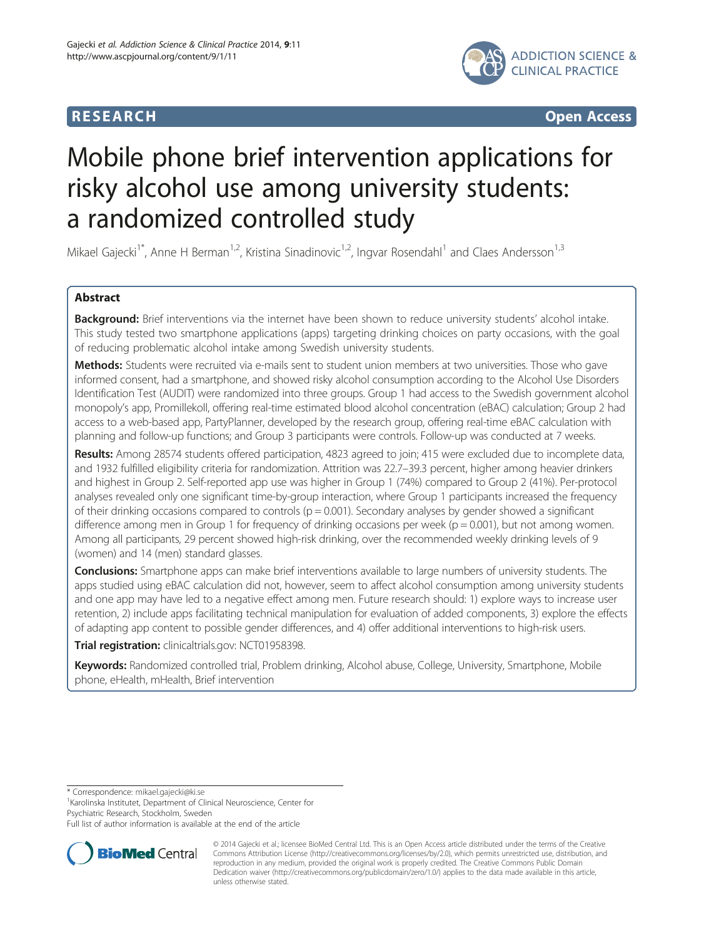

**RESEARCH CHINESEARCH CHINESEARCH CHINESE** 

# Mobile phone brief intervention applications for risky alcohol use among university students: a randomized controlled study

Mikael Gajecki<sup>1\*</sup>, Anne H Berman<sup>1,2</sup>, Kristina Sinadinovic<sup>1,2</sup>, Ingvar Rosendahl<sup>1</sup> and Claes Andersson<sup>1,3</sup>

# Abstract

Background: Brief interventions via the internet have been shown to reduce university students' alcohol intake. This study tested two smartphone applications (apps) targeting drinking choices on party occasions, with the goal of reducing problematic alcohol intake among Swedish university students.

Methods: Students were recruited via e-mails sent to student union members at two universities. Those who gave informed consent, had a smartphone, and showed risky alcohol consumption according to the Alcohol Use Disorders Identification Test (AUDIT) were randomized into three groups. Group 1 had access to the Swedish government alcohol monopoly's app, Promillekoll, offering real-time estimated blood alcohol concentration (eBAC) calculation; Group 2 had access to a web-based app, PartyPlanner, developed by the research group, offering real-time eBAC calculation with planning and follow-up functions; and Group 3 participants were controls. Follow-up was conducted at 7 weeks.

Results: Among 28574 students offered participation, 4823 agreed to join; 415 were excluded due to incomplete data, and 1932 fulfilled eligibility criteria for randomization. Attrition was 22.7–39.3 percent, higher among heavier drinkers and highest in Group 2. Self-reported app use was higher in Group 1 (74%) compared to Group 2 (41%). Per-protocol analyses revealed only one significant time-by-group interaction, where Group 1 participants increased the frequency of their drinking occasions compared to controls ( $p = 0.001$ ). Secondary analyses by gender showed a significant difference among men in Group 1 for frequency of drinking occasions per week (p = 0.001), but not among women. Among all participants, 29 percent showed high-risk drinking, over the recommended weekly drinking levels of 9 (women) and 14 (men) standard glasses.

Conclusions: Smartphone apps can make brief interventions available to large numbers of university students. The apps studied using eBAC calculation did not, however, seem to affect alcohol consumption among university students and one app may have led to a negative effect among men. Future research should: 1) explore ways to increase user retention, 2) include apps facilitating technical manipulation for evaluation of added components, 3) explore the effects of adapting app content to possible gender differences, and 4) offer additional interventions to high-risk users.

Trial registration: clinicaltrials.gov: [NCT01958398](https://clinicaltrials.gov/ct2/show/NCT01958398?term=NCT01958398&rank=1).

Keywords: Randomized controlled trial, Problem drinking, Alcohol abuse, College, University, Smartphone, Mobile phone, eHealth, mHealth, Brief intervention

\* Correspondence: [mikael.gajecki@ki.se](mailto:mikael.gajecki@ki.se) <sup>1</sup>

<sup>1</sup> Karolinska Institutet, Department of Clinical Neuroscience, Center for Psychiatric Research, Stockholm, Sweden

Full list of author information is available at the end of the article



<sup>© 2014</sup> Gajecki et al.; licensee BioMed Central Ltd. This is an Open Access article distributed under the terms of the Creative Commons Attribution License [\(http://creativecommons.org/licenses/by/2.0\)](http://creativecommons.org/licenses/by/2.0), which permits unrestricted use, distribution, and reproduction in any medium, provided the original work is properly credited. The Creative Commons Public Domain Dedication waiver [\(http://creativecommons.org/publicdomain/zero/1.0/](http://creativecommons.org/publicdomain/zero/1.0/)) applies to the data made available in this article, unless otherwise stated.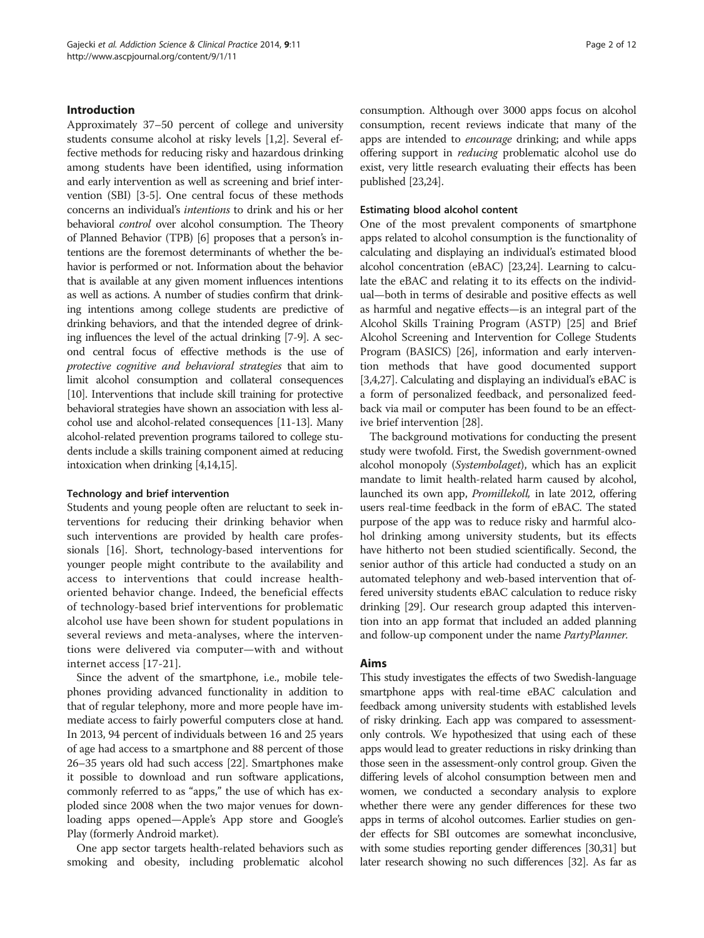# Introduction

Approximately 37–50 percent of college and university students consume alcohol at risky levels [[1,2](#page-10-0)]. Several effective methods for reducing risky and hazardous drinking among students have been identified, using information and early intervention as well as screening and brief intervention (SBI) [\[3-5](#page-10-0)]. One central focus of these methods concerns an individual's intentions to drink and his or her behavioral *control* over alcohol consumption. The Theory of Planned Behavior (TPB) [[6](#page-10-0)] proposes that a person's intentions are the foremost determinants of whether the behavior is performed or not. Information about the behavior that is available at any given moment influences intentions as well as actions. A number of studies confirm that drinking intentions among college students are predictive of drinking behaviors, and that the intended degree of drinking influences the level of the actual drinking [[7](#page-10-0)-[9](#page-10-0)]. A second central focus of effective methods is the use of protective cognitive and behavioral strategies that aim to limit alcohol consumption and collateral consequences [[10](#page-10-0)]. Interventions that include skill training for protective behavioral strategies have shown an association with less alcohol use and alcohol-related consequences [\[11-13](#page-10-0)]. Many alcohol-related prevention programs tailored to college students include a skills training component aimed at reducing intoxication when drinking [\[4,14,15\]](#page-10-0).

#### Technology and brief intervention

Students and young people often are reluctant to seek interventions for reducing their drinking behavior when such interventions are provided by health care professionals [\[16\]](#page-11-0). Short, technology-based interventions for younger people might contribute to the availability and access to interventions that could increase healthoriented behavior change. Indeed, the beneficial effects of technology-based brief interventions for problematic alcohol use have been shown for student populations in several reviews and meta-analyses, where the interventions were delivered via computer—with and without internet access [[17](#page-11-0)-[21\]](#page-11-0).

Since the advent of the smartphone, i.e., mobile telephones providing advanced functionality in addition to that of regular telephony, more and more people have immediate access to fairly powerful computers close at hand. In 2013, 94 percent of individuals between 16 and 25 years of age had access to a smartphone and 88 percent of those 26–35 years old had such access [\[22\]](#page-11-0). Smartphones make it possible to download and run software applications, commonly referred to as "apps," the use of which has exploded since 2008 when the two major venues for downloading apps opened—Apple's App store and Google's Play (formerly Android market).

One app sector targets health-related behaviors such as smoking and obesity, including problematic alcohol consumption. Although over 3000 apps focus on alcohol consumption, recent reviews indicate that many of the apps are intended to encourage drinking; and while apps offering support in reducing problematic alcohol use do exist, very little research evaluating their effects has been published [\[23,24](#page-11-0)].

#### Estimating blood alcohol content

One of the most prevalent components of smartphone apps related to alcohol consumption is the functionality of calculating and displaying an individual's estimated blood alcohol concentration (eBAC) [\[23,24](#page-11-0)]. Learning to calculate the eBAC and relating it to its effects on the individual—both in terms of desirable and positive effects as well as harmful and negative effects—is an integral part of the Alcohol Skills Training Program (ASTP) [[25](#page-11-0)] and Brief Alcohol Screening and Intervention for College Students Program (BASICS) [\[26\]](#page-11-0), information and early intervention methods that have good documented support [[3,4](#page-10-0),[27](#page-11-0)]. Calculating and displaying an individual's eBAC is a form of personalized feedback, and personalized feedback via mail or computer has been found to be an effective brief intervention [[28\]](#page-11-0).

The background motivations for conducting the present study were twofold. First, the Swedish government-owned alcohol monopoly (Systembolaget), which has an explicit mandate to limit health-related harm caused by alcohol, launched its own app, Promillekoll, in late 2012, offering users real-time feedback in the form of eBAC. The stated purpose of the app was to reduce risky and harmful alcohol drinking among university students, but its effects have hitherto not been studied scientifically. Second, the senior author of this article had conducted a study on an automated telephony and web-based intervention that offered university students eBAC calculation to reduce risky drinking [\[29](#page-11-0)]. Our research group adapted this intervention into an app format that included an added planning and follow-up component under the name PartyPlanner.

#### Aims

This study investigates the effects of two Swedish-language smartphone apps with real-time eBAC calculation and feedback among university students with established levels of risky drinking. Each app was compared to assessmentonly controls. We hypothesized that using each of these apps would lead to greater reductions in risky drinking than those seen in the assessment-only control group. Given the differing levels of alcohol consumption between men and women, we conducted a secondary analysis to explore whether there were any gender differences for these two apps in terms of alcohol outcomes. Earlier studies on gender effects for SBI outcomes are somewhat inconclusive, with some studies reporting gender differences [\[30,31\]](#page-11-0) but later research showing no such differences [[32\]](#page-11-0). As far as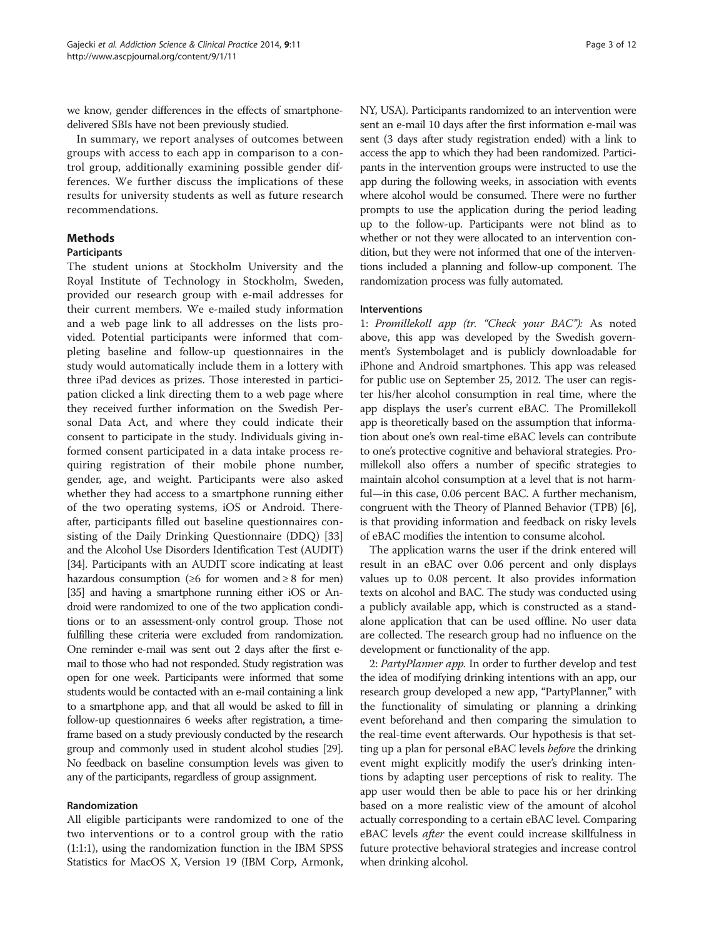we know, gender differences in the effects of smartphonedelivered SBIs have not been previously studied.

In summary, we report analyses of outcomes between groups with access to each app in comparison to a control group, additionally examining possible gender differences. We further discuss the implications of these results for university students as well as future research recommendations.

# **Methods**

#### Participants

The student unions at Stockholm University and the Royal Institute of Technology in Stockholm, Sweden, provided our research group with e-mail addresses for their current members. We e-mailed study information and a web page link to all addresses on the lists provided. Potential participants were informed that completing baseline and follow-up questionnaires in the study would automatically include them in a lottery with three iPad devices as prizes. Those interested in participation clicked a link directing them to a web page where they received further information on the Swedish Personal Data Act, and where they could indicate their consent to participate in the study. Individuals giving informed consent participated in a data intake process requiring registration of their mobile phone number, gender, age, and weight. Participants were also asked whether they had access to a smartphone running either of the two operating systems, iOS or Android. Thereafter, participants filled out baseline questionnaires consisting of the Daily Drinking Questionnaire (DDQ) [[33](#page-11-0)] and the Alcohol Use Disorders Identification Test (AUDIT) [[34](#page-11-0)]. Participants with an AUDIT score indicating at least hazardous consumption ( $\geq 6$  for women and  $\geq 8$  for men) [[35\]](#page-11-0) and having a smartphone running either iOS or Android were randomized to one of the two application conditions or to an assessment-only control group. Those not fulfilling these criteria were excluded from randomization. One reminder e-mail was sent out 2 days after the first email to those who had not responded. Study registration was open for one week. Participants were informed that some students would be contacted with an e-mail containing a link to a smartphone app, and that all would be asked to fill in follow-up questionnaires 6 weeks after registration, a timeframe based on a study previously conducted by the research group and commonly used in student alcohol studies [\[29\]](#page-11-0). No feedback on baseline consumption levels was given to any of the participants, regardless of group assignment.

#### Randomization

All eligible participants were randomized to one of the two interventions or to a control group with the ratio (1:1:1), using the randomization function in the IBM SPSS Statistics for MacOS X, Version 19 (IBM Corp, Armonk, NY, USA). Participants randomized to an intervention were sent an e-mail 10 days after the first information e-mail was sent (3 days after study registration ended) with a link to access the app to which they had been randomized. Participants in the intervention groups were instructed to use the app during the following weeks, in association with events where alcohol would be consumed. There were no further prompts to use the application during the period leading up to the follow-up. Participants were not blind as to whether or not they were allocated to an intervention condition, but they were not informed that one of the interventions included a planning and follow-up component. The randomization process was fully automated.

#### Interventions

1: Promillekoll app (tr. "Check your BAC"): As noted above, this app was developed by the Swedish government's Systembolaget and is publicly downloadable for iPhone and Android smartphones. This app was released for public use on September 25, 2012. The user can register his/her alcohol consumption in real time, where the app displays the user's current eBAC. The Promillekoll app is theoretically based on the assumption that information about one's own real-time eBAC levels can contribute to one's protective cognitive and behavioral strategies. Promillekoll also offers a number of specific strategies to maintain alcohol consumption at a level that is not harmful—in this case, 0.06 percent BAC. A further mechanism, congruent with the Theory of Planned Behavior (TPB) [[6](#page-10-0)], is that providing information and feedback on risky levels of eBAC modifies the intention to consume alcohol.

The application warns the user if the drink entered will result in an eBAC over 0.06 percent and only displays values up to 0.08 percent. It also provides information texts on alcohol and BAC. The study was conducted using a publicly available app, which is constructed as a standalone application that can be used offline. No user data are collected. The research group had no influence on the development or functionality of the app.

2: PartyPlanner app. In order to further develop and test the idea of modifying drinking intentions with an app, our research group developed a new app, "PartyPlanner," with the functionality of simulating or planning a drinking event beforehand and then comparing the simulation to the real-time event afterwards. Our hypothesis is that setting up a plan for personal eBAC levels *before* the drinking event might explicitly modify the user's drinking intentions by adapting user perceptions of risk to reality. The app user would then be able to pace his or her drinking based on a more realistic view of the amount of alcohol actually corresponding to a certain eBAC level. Comparing eBAC levels after the event could increase skillfulness in future protective behavioral strategies and increase control when drinking alcohol.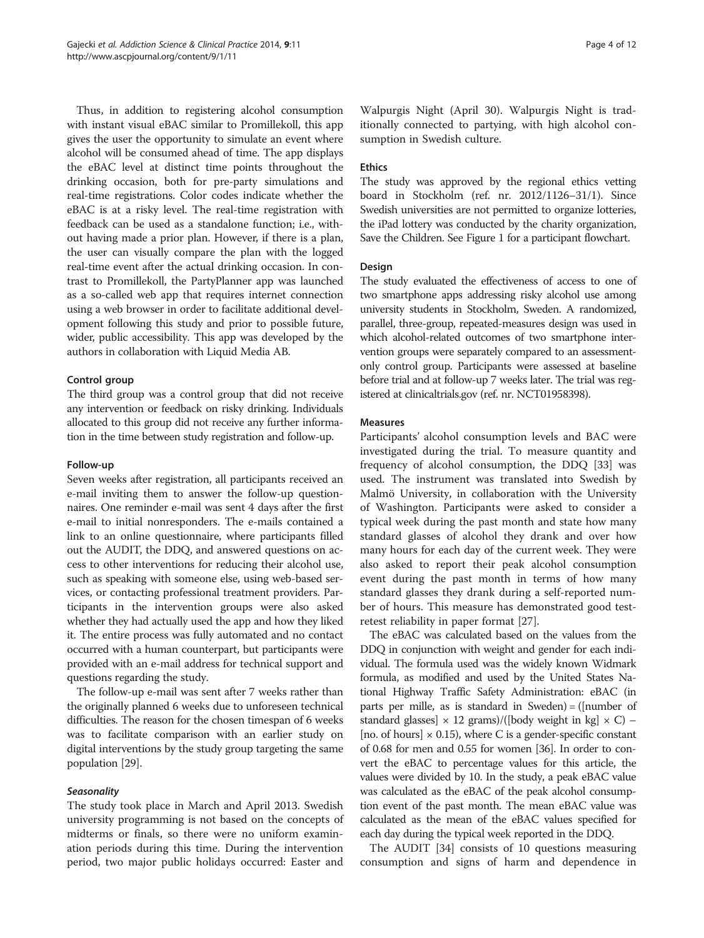Thus, in addition to registering alcohol consumption with instant visual eBAC similar to Promillekoll, this app gives the user the opportunity to simulate an event where alcohol will be consumed ahead of time. The app displays the eBAC level at distinct time points throughout the drinking occasion, both for pre-party simulations and real-time registrations. Color codes indicate whether the eBAC is at a risky level. The real-time registration with feedback can be used as a standalone function; i.e., without having made a prior plan. However, if there is a plan, the user can visually compare the plan with the logged real-time event after the actual drinking occasion. In contrast to Promillekoll, the PartyPlanner app was launched as a so-called web app that requires internet connection using a web browser in order to facilitate additional development following this study and prior to possible future, wider, public accessibility. This app was developed by the authors in collaboration with Liquid Media AB.

# Control group

The third group was a control group that did not receive any intervention or feedback on risky drinking. Individuals allocated to this group did not receive any further information in the time between study registration and follow-up.

#### Follow-up

Seven weeks after registration, all participants received an e-mail inviting them to answer the follow-up questionnaires. One reminder e-mail was sent 4 days after the first e-mail to initial nonresponders. The e-mails contained a link to an online questionnaire, where participants filled out the AUDIT, the DDQ, and answered questions on access to other interventions for reducing their alcohol use, such as speaking with someone else, using web-based services, or contacting professional treatment providers. Participants in the intervention groups were also asked whether they had actually used the app and how they liked it. The entire process was fully automated and no contact occurred with a human counterpart, but participants were provided with an e-mail address for technical support and questions regarding the study.

The follow-up e-mail was sent after 7 weeks rather than the originally planned 6 weeks due to unforeseen technical difficulties. The reason for the chosen timespan of 6 weeks was to facilitate comparison with an earlier study on digital interventions by the study group targeting the same population [[29](#page-11-0)].

#### **Seasonality**

The study took place in March and April 2013. Swedish university programming is not based on the concepts of midterms or finals, so there were no uniform examination periods during this time. During the intervention period, two major public holidays occurred: Easter and

Walpurgis Night (April 30). Walpurgis Night is traditionally connected to partying, with high alcohol consumption in Swedish culture.

# Ethics

The study was approved by the regional ethics vetting board in Stockholm (ref. nr. 2012/1126–31/1). Since Swedish universities are not permitted to organize lotteries, the iPad lottery was conducted by the charity organization, Save the Children. See Figure [1](#page-4-0) for a participant flowchart.

#### Design

The study evaluated the effectiveness of access to one of two smartphone apps addressing risky alcohol use among university students in Stockholm, Sweden. A randomized, parallel, three-group, repeated-measures design was used in which alcohol-related outcomes of two smartphone intervention groups were separately compared to an assessmentonly control group. Participants were assessed at baseline before trial and at follow-up 7 weeks later. The trial was registered at clinicaltrials.gov (ref. nr. NCT01958398).

#### Measures

Participants' alcohol consumption levels and BAC were investigated during the trial. To measure quantity and frequency of alcohol consumption, the DDQ [[33](#page-11-0)] was used. The instrument was translated into Swedish by Malmö University, in collaboration with the University of Washington. Participants were asked to consider a typical week during the past month and state how many standard glasses of alcohol they drank and over how many hours for each day of the current week. They were also asked to report their peak alcohol consumption event during the past month in terms of how many standard glasses they drank during a self-reported number of hours. This measure has demonstrated good testretest reliability in paper format [\[27](#page-11-0)].

The eBAC was calculated based on the values from the DDQ in conjunction with weight and gender for each individual. The formula used was the widely known Widmark formula, as modified and used by the United States National Highway Traffic Safety Administration: eBAC (in parts per mille, as is standard in Sweden) = ([number of standard glasses]  $\times$  12 grams)/([body weight in kg]  $\times$  C) – [no. of hours]  $\times$  0.15), where C is a gender-specific constant of 0.68 for men and 0.55 for women [\[36\]](#page-11-0). In order to convert the eBAC to percentage values for this article, the values were divided by 10. In the study, a peak eBAC value was calculated as the eBAC of the peak alcohol consumption event of the past month. The mean eBAC value was calculated as the mean of the eBAC values specified for each day during the typical week reported in the DDQ.

The AUDIT [[34\]](#page-11-0) consists of 10 questions measuring consumption and signs of harm and dependence in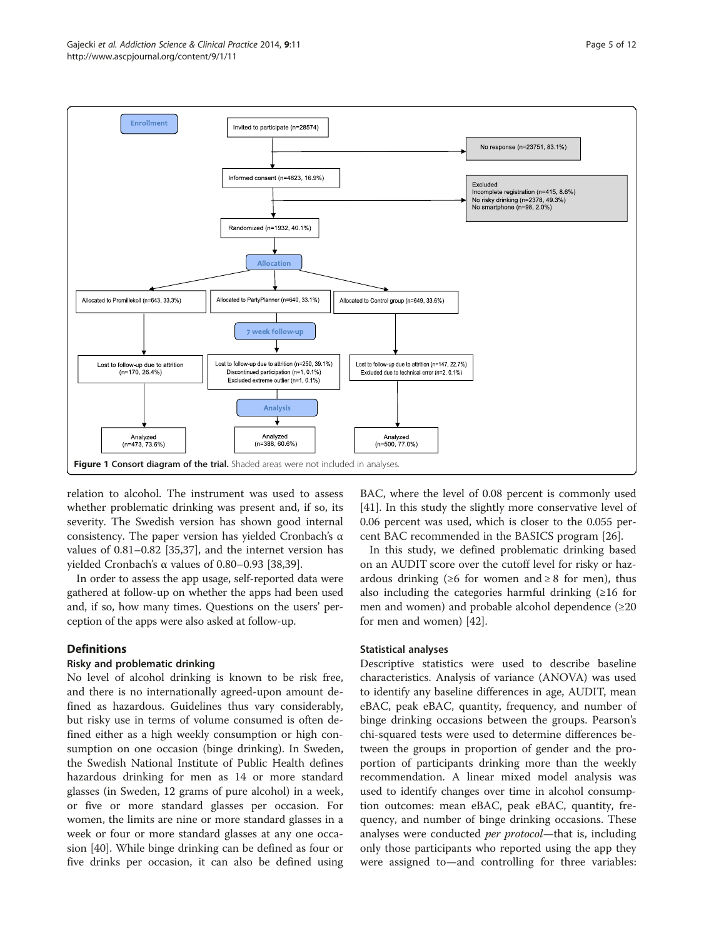<span id="page-4-0"></span>

relation to alcohol. The instrument was used to assess whether problematic drinking was present and, if so, its severity. The Swedish version has shown good internal consistency. The paper version has yielded Cronbach's α values of 0.81–0.82 [[35,37\]](#page-11-0), and the internet version has yielded Cronbach's α values of 0.80–0.93 [\[38,39\]](#page-11-0).

In order to assess the app usage, self-reported data were gathered at follow-up on whether the apps had been used and, if so, how many times. Questions on the users' perception of the apps were also asked at follow-up.

# **Definitions**

#### Risky and problematic drinking

No level of alcohol drinking is known to be risk free, and there is no internationally agreed-upon amount defined as hazardous. Guidelines thus vary considerably, but risky use in terms of volume consumed is often defined either as a high weekly consumption or high consumption on one occasion (binge drinking). In Sweden, the Swedish National Institute of Public Health defines hazardous drinking for men as 14 or more standard glasses (in Sweden, 12 grams of pure alcohol) in a week, or five or more standard glasses per occasion. For women, the limits are nine or more standard glasses in a week or four or more standard glasses at any one occasion [[40\]](#page-11-0). While binge drinking can be defined as four or five drinks per occasion, it can also be defined using

BAC, where the level of 0.08 percent is commonly used [[41\]](#page-11-0). In this study the slightly more conservative level of 0.06 percent was used, which is closer to the 0.055 percent BAC recommended in the BASICS program [[26](#page-11-0)].

In this study, we defined problematic drinking based on an AUDIT score over the cutoff level for risky or hazardous drinking ( $\geq 6$  for women and  $\geq 8$  for men), thus also including the categories harmful drinking  $(≥16$  for men and women) and probable alcohol dependence (≥20 for men and women) [\[42](#page-11-0)].

# Statistical analyses

Descriptive statistics were used to describe baseline characteristics. Analysis of variance (ANOVA) was used to identify any baseline differences in age, AUDIT, mean eBAC, peak eBAC, quantity, frequency, and number of binge drinking occasions between the groups. Pearson's chi-squared tests were used to determine differences between the groups in proportion of gender and the proportion of participants drinking more than the weekly recommendation. A linear mixed model analysis was used to identify changes over time in alcohol consumption outcomes: mean eBAC, peak eBAC, quantity, frequency, and number of binge drinking occasions. These analyses were conducted *per protocol*—that is, including only those participants who reported using the app they were assigned to—and controlling for three variables: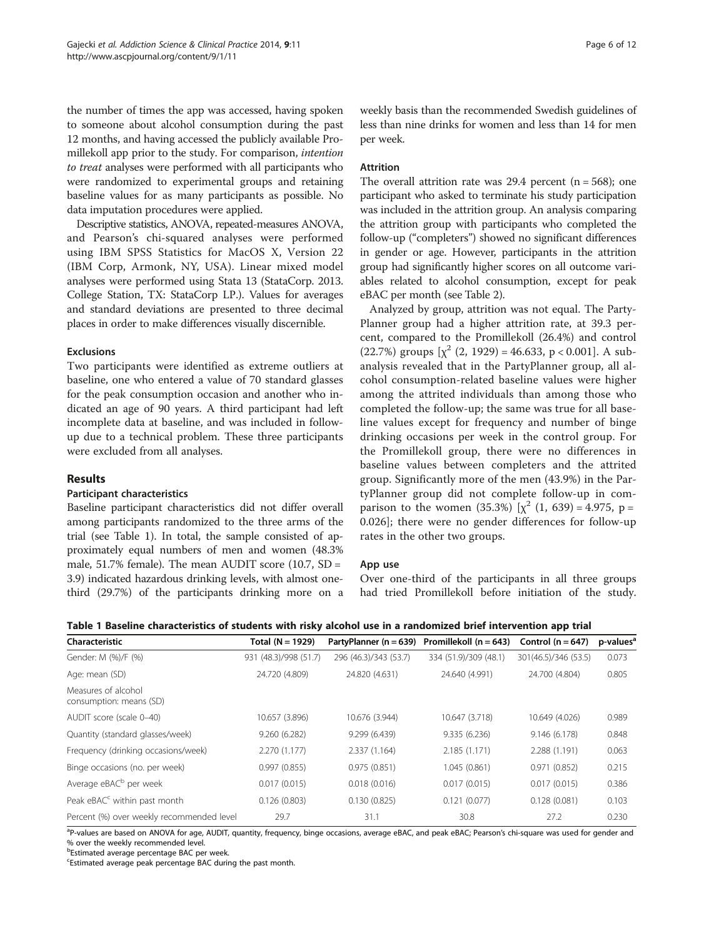the number of times the app was accessed, having spoken to someone about alcohol consumption during the past 12 months, and having accessed the publicly available Promillekoll app prior to the study. For comparison, intention to treat analyses were performed with all participants who were randomized to experimental groups and retaining baseline values for as many participants as possible. No data imputation procedures were applied.

Descriptive statistics, ANOVA, repeated-measures ANOVA, and Pearson's chi-squared analyses were performed using IBM SPSS Statistics for MacOS X, Version 22 (IBM Corp, Armonk, NY, USA). Linear mixed model analyses were performed using Stata 13 (StataCorp. 2013. College Station, TX: StataCorp LP.). Values for averages and standard deviations are presented to three decimal places in order to make differences visually discernible.

# Exclusions

Two participants were identified as extreme outliers at baseline, one who entered a value of 70 standard glasses for the peak consumption occasion and another who indicated an age of 90 years. A third participant had left incomplete data at baseline, and was included in followup due to a technical problem. These three participants were excluded from all analyses.

# Results

#### Participant characteristics

Baseline participant characteristics did not differ overall among participants randomized to the three arms of the trial (see Table 1). In total, the sample consisted of approximately equal numbers of men and women (48.3% male, 51.7% female). The mean AUDIT score (10.7, SD = 3.9) indicated hazardous drinking levels, with almost onethird (29.7%) of the participants drinking more on a weekly basis than the recommended Swedish guidelines of less than nine drinks for women and less than 14 for men per week.

# Attrition

The overall attrition rate was 29.4 percent  $(n = 568)$ ; one participant who asked to terminate his study participation was included in the attrition group. An analysis comparing the attrition group with participants who completed the follow-up ("completers") showed no significant differences in gender or age. However, participants in the attrition group had significantly higher scores on all outcome variables related to alcohol consumption, except for peak eBAC per month (see Table [2](#page-6-0)).

Analyzed by group, attrition was not equal. The Party-Planner group had a higher attrition rate, at 39.3 percent, compared to the Promillekoll (26.4%) and control  $(22.7%)$  groups  $[\chi^2 (2, 1929) = 46.633, p < 0.001]$ . A subanalysis revealed that in the PartyPlanner group, all alcohol consumption-related baseline values were higher among the attrited individuals than among those who completed the follow-up; the same was true for all baseline values except for frequency and number of binge drinking occasions per week in the control group. For the Promillekoll group, there were no differences in baseline values between completers and the attrited group. Significantly more of the men (43.9%) in the PartyPlanner group did not complete follow-up in comparison to the women (35.3%)  $[\chi^2 (1, 639) = 4.975, p =$ 0.026]; there were no gender differences for follow-up rates in the other two groups.

#### App use

Over one-third of the participants in all three groups had tried Promillekoll before initiation of the study.

| Characteristic                                 | Total $(N = 1929)$    | PartyPlanner ( $n = 639$ ) | Promillekoll ( $n = 643$ ) | Control $(n = 647)$  | p-values <sup>a</sup> |
|------------------------------------------------|-----------------------|----------------------------|----------------------------|----------------------|-----------------------|
| Gender: M (%)/F (%)                            | 931 (48.3)/998 (51.7) | 296 (46.3)/343 (53.7)      | 334 (51.9)/309 (48.1)      | 301(46.5)/346 (53.5) | 0.073                 |
| Age: mean (SD)                                 | 24.720 (4.809)        | 24.820 (4.631)             | 24.640 (4.991)             | 24.700 (4.804)       | 0.805                 |
| Measures of alcohol<br>consumption: means (SD) |                       |                            |                            |                      |                       |
| AUDIT score (scale 0-40)                       | 10.657 (3.896)        | 10.676 (3.944)             | 10.647 (3.718)             | 10.649 (4.026)       | 0.989                 |
| Quantity (standard glasses/week)               | 9.260(6.282)          | 9.299 (6.439)              | 9.335(6.236)               | 9.146 (6.178)        | 0.848                 |
| Frequency (drinking occasions/week)            | 2.270 (1.177)         | 2.337 (1.164)              | 2.185 (1.171)              | 2.288 (1.191)        | 0.063                 |
| Binge occasions (no. per week)                 | 0.997(0.855)          | 0.975(0.851)               | 1.045 (0.861)              | 0.971(0.852)         | 0.215                 |
| Average eBAC <sup>b</sup> per week             | 0.017(0.015)          | 0.018(0.016)               | 0.017(0.015)               | 0.017(0.015)         | 0.386                 |
| Peak eBAC <sup>c</sup> within past month       | 0.126(0.803)          | 0.130(0.825)               | 0.121(0.077)               | 0.128(0.081)         | 0.103                 |
| Percent (%) over weekly recommended level      | 29.7                  | 31.1                       | 30.8                       | 27.2                 | 0.230                 |

<sup>a</sup>P-values are based on ANOVA for age, AUDIT, quantity, frequency, binge occasions, average eBAC, and peak eBAC; Pearson's chi-square was used for gender and % over the weekly recommended level.

<sup>b</sup>Estimated average percentage BAC per week.

Estimated average peak percentage BAC during the past month.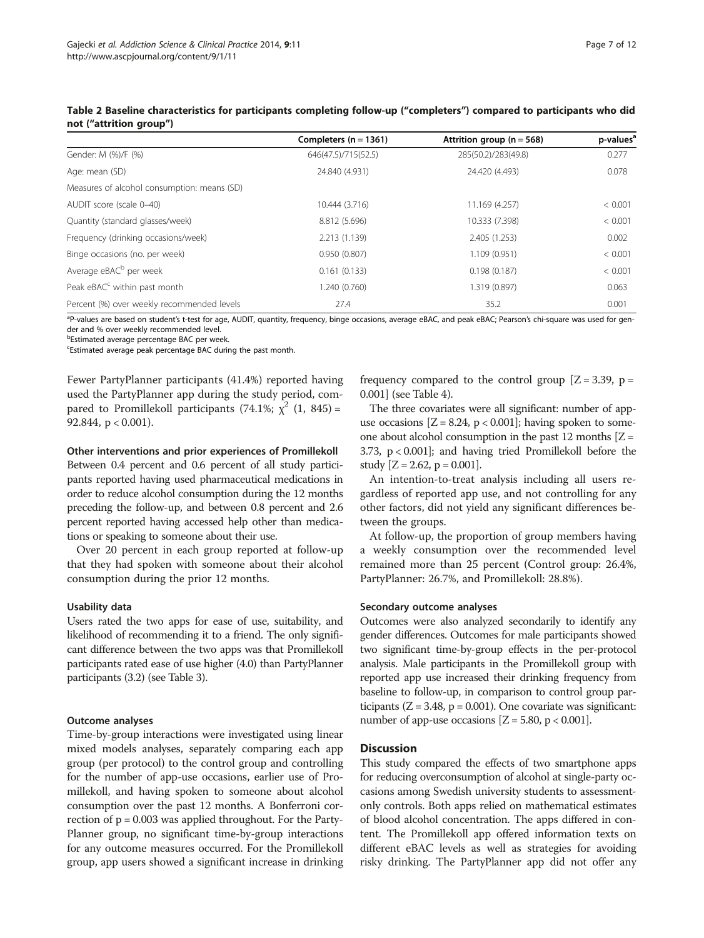|                                             | Completers $(n = 1361)$ | Attrition group ( $n = 568$ ) | p-values <sup>a</sup> |
|---------------------------------------------|-------------------------|-------------------------------|-----------------------|
| Gender: M (%)/F (%)                         | 646(47.5)/715(52.5)     | 285(50.2)/283(49.8)           | 0.277                 |
| Age: mean (SD)                              | 24.840 (4.931)          | 24.420 (4.493)                | 0.078                 |
| Measures of alcohol consumption: means (SD) |                         |                               |                       |
| AUDIT score (scale 0-40)                    | 10.444 (3.716)          | 11.169 (4.257)                | < 0.001               |
| Quantity (standard glasses/week)            | 8.812 (5.696)           | 10.333 (7.398)                | < 0.001               |
| Frequency (drinking occasions/week)         | 2.213(1.139)            | 2.405 (1.253)                 | 0.002                 |
| Binge occasions (no. per week)              | 0.950(0.807)            | 1.109(0.951)                  | < 0.001               |
| Average eBAC <sup>b</sup> per week          | 0.161(0.133)            | 0.198(0.187)                  | < 0.001               |
| Peak eBAC <sup>c</sup> within past month    | 1.240 (0.760)           | 1.319 (0.897)                 | 0.063                 |
| Percent (%) over weekly recommended levels  | 27.4                    | 35.2                          | 0.001                 |

<span id="page-6-0"></span>Table 2 Baseline characteristics for participants completing follow-up ("completers") compared to participants who did not ("attrition group")

<sup>a</sup>P-values are based on student's t-test for age, AUDIT, quantity, frequency, binge occasions, average eBAC, and peak eBAC; Pearson's chi-square was used for gender and % over weekly recommended level.

b Estimated average percentage BAC per week.

Estimated average peak percentage BAC during the past month.

Fewer PartyPlanner participants (41.4%) reported having used the PartyPlanner app during the study period, compared to Promillekoll participants (74.1%;  $\chi^2$  (1, 845) = 92.844, p < 0.001).

#### Other interventions and prior experiences of Promillekoll

Between 0.4 percent and 0.6 percent of all study participants reported having used pharmaceutical medications in order to reduce alcohol consumption during the 12 months preceding the follow-up, and between 0.8 percent and 2.6 percent reported having accessed help other than medications or speaking to someone about their use.

Over 20 percent in each group reported at follow-up that they had spoken with someone about their alcohol consumption during the prior 12 months.

#### Usability data

Users rated the two apps for ease of use, suitability, and likelihood of recommending it to a friend. The only significant difference between the two apps was that Promillekoll participants rated ease of use higher (4.0) than PartyPlanner participants (3.2) (see Table [3\)](#page-7-0).

#### Outcome analyses

Time-by-group interactions were investigated using linear mixed models analyses, separately comparing each app group (per protocol) to the control group and controlling for the number of app-use occasions, earlier use of Promillekoll, and having spoken to someone about alcohol consumption over the past 12 months. A Bonferroni correction of  $p = 0.003$  was applied throughout. For the Party-Planner group, no significant time-by-group interactions for any outcome measures occurred. For the Promillekoll group, app users showed a significant increase in drinking

frequency compared to the control group  $[Z = 3.39, p =$ 0.001] (see Table [4](#page-8-0)).

The three covariates were all significant: number of appuse occasions  $[Z = 8.24, p < 0.001]$ ; having spoken to someone about alcohol consumption in the past 12 months  $[Z =$ 3.73, p < 0.001]; and having tried Promillekoll before the study  $[Z = 2.62, p = 0.001]$ .

An intention-to-treat analysis including all users regardless of reported app use, and not controlling for any other factors, did not yield any significant differences between the groups.

At follow-up, the proportion of group members having a weekly consumption over the recommended level remained more than 25 percent (Control group: 26.4%, PartyPlanner: 26.7%, and Promillekoll: 28.8%).

#### Secondary outcome analyses

Outcomes were also analyzed secondarily to identify any gender differences. Outcomes for male participants showed two significant time-by-group effects in the per-protocol analysis. Male participants in the Promillekoll group with reported app use increased their drinking frequency from baseline to follow-up, in comparison to control group participants ( $Z = 3.48$ ,  $p = 0.001$ ). One covariate was significant: number of app-use occasions  $[Z = 5.80, p < 0.001]$ .

#### **Discussion**

This study compared the effects of two smartphone apps for reducing overconsumption of alcohol at single-party occasions among Swedish university students to assessmentonly controls. Both apps relied on mathematical estimates of blood alcohol concentration. The apps differed in content. The Promillekoll app offered information texts on different eBAC levels as well as strategies for avoiding risky drinking. The PartyPlanner app did not offer any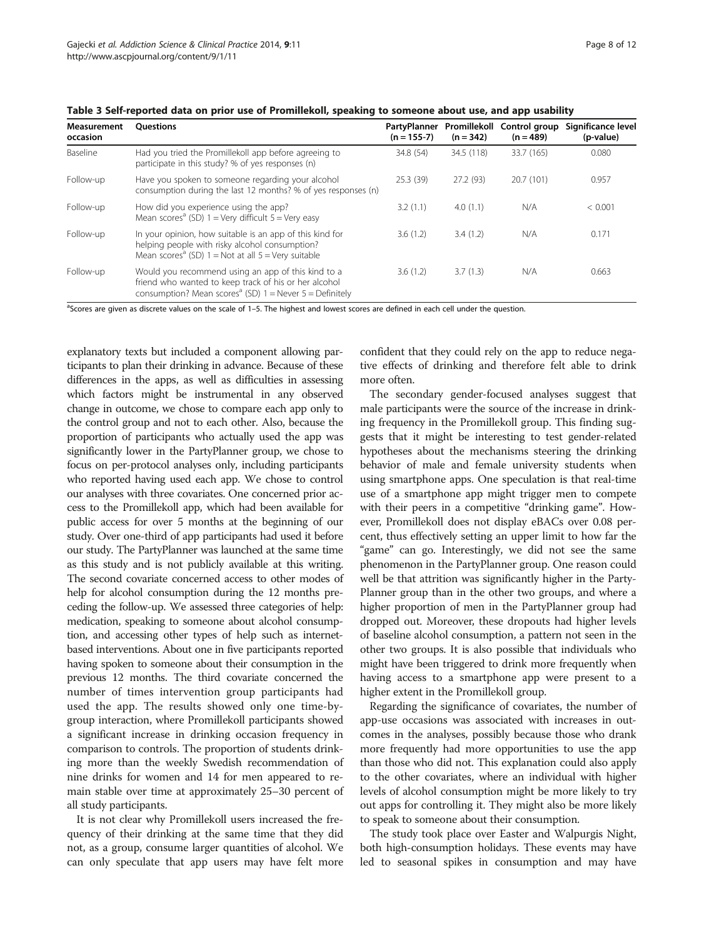| Measurement<br>occasion | Questions                                                                                                                                                                              | <b>PartyPlanner</b><br>$(n = 155-7)$ | Promillekoll<br>$(n = 342)$ | Control group<br>$(n = 489)$ | Significance level<br>(p-value) |
|-------------------------|----------------------------------------------------------------------------------------------------------------------------------------------------------------------------------------|--------------------------------------|-----------------------------|------------------------------|---------------------------------|
| Baseline                | Had you tried the Promillekoll app before agreeing to<br>participate in this study? % of yes responses (n)                                                                             | 34.8 (54)                            | 34.5 (118)                  | 33.7 (165)                   | 0.080                           |
| Follow-up               | Have you spoken to someone regarding your alcohol<br>consumption during the last 12 months? % of yes responses (n)                                                                     | 25.3 (39)                            | 27.2 (93)                   | 20.7 (101)                   | 0.957                           |
| Follow-up               | How did you experience using the app?<br>Mean scores <sup>a</sup> (SD) $1 =$ Very difficult $5 =$ Very easy                                                                            | 3.2(1.1)                             | 4.0(1.1)                    | N/A                          | < 0.001                         |
| Follow-up               | In your opinion, how suitable is an app of this kind for<br>helping people with risky alcohol consumption?<br>Mean scores <sup>a</sup> (SD) $1 = Not$ at all $5 = Very$ suitable       | 3.6(1.2)                             | 3.4(1.2)                    | N/A                          | 0.171                           |
| Follow-up               | Would you recommend using an app of this kind to a<br>friend who wanted to keep track of his or her alcohol<br>consumption? Mean scores <sup>a</sup> (SD) $1 =$ Never $5 =$ Definitely | 3.6(1.2)                             | 3.7(1.3)                    | N/A                          | 0.663                           |

<span id="page-7-0"></span>Table 3 Self-reported data on prior use of Promillekoll, speaking to someone about use, and app usability

<sup>a</sup>Scores are given as discrete values on the scale of 1–5. The highest and lowest scores are defined in each cell under the question.

explanatory texts but included a component allowing participants to plan their drinking in advance. Because of these differences in the apps, as well as difficulties in assessing which factors might be instrumental in any observed change in outcome, we chose to compare each app only to the control group and not to each other. Also, because the proportion of participants who actually used the app was significantly lower in the PartyPlanner group, we chose to focus on per-protocol analyses only, including participants who reported having used each app. We chose to control our analyses with three covariates. One concerned prior access to the Promillekoll app, which had been available for public access for over 5 months at the beginning of our study. Over one-third of app participants had used it before our study. The PartyPlanner was launched at the same time as this study and is not publicly available at this writing. The second covariate concerned access to other modes of help for alcohol consumption during the 12 months preceding the follow-up. We assessed three categories of help: medication, speaking to someone about alcohol consumption, and accessing other types of help such as internetbased interventions. About one in five participants reported having spoken to someone about their consumption in the previous 12 months. The third covariate concerned the number of times intervention group participants had used the app. The results showed only one time-bygroup interaction, where Promillekoll participants showed a significant increase in drinking occasion frequency in comparison to controls. The proportion of students drinking more than the weekly Swedish recommendation of nine drinks for women and 14 for men appeared to remain stable over time at approximately 25–30 percent of all study participants.

It is not clear why Promillekoll users increased the frequency of their drinking at the same time that they did not, as a group, consume larger quantities of alcohol. We can only speculate that app users may have felt more

confident that they could rely on the app to reduce negative effects of drinking and therefore felt able to drink more often.

The secondary gender-focused analyses suggest that male participants were the source of the increase in drinking frequency in the Promillekoll group. This finding suggests that it might be interesting to test gender-related hypotheses about the mechanisms steering the drinking behavior of male and female university students when using smartphone apps. One speculation is that real-time use of a smartphone app might trigger men to compete with their peers in a competitive "drinking game". However, Promillekoll does not display eBACs over 0.08 percent, thus effectively setting an upper limit to how far the "game" can go. Interestingly, we did not see the same phenomenon in the PartyPlanner group. One reason could well be that attrition was significantly higher in the Party-Planner group than in the other two groups, and where a higher proportion of men in the PartyPlanner group had dropped out. Moreover, these dropouts had higher levels of baseline alcohol consumption, a pattern not seen in the other two groups. It is also possible that individuals who might have been triggered to drink more frequently when having access to a smartphone app were present to a higher extent in the Promillekoll group.

Regarding the significance of covariates, the number of app-use occasions was associated with increases in outcomes in the analyses, possibly because those who drank more frequently had more opportunities to use the app than those who did not. This explanation could also apply to the other covariates, where an individual with higher levels of alcohol consumption might be more likely to try out apps for controlling it. They might also be more likely to speak to someone about their consumption.

The study took place over Easter and Walpurgis Night, both high-consumption holidays. These events may have led to seasonal spikes in consumption and may have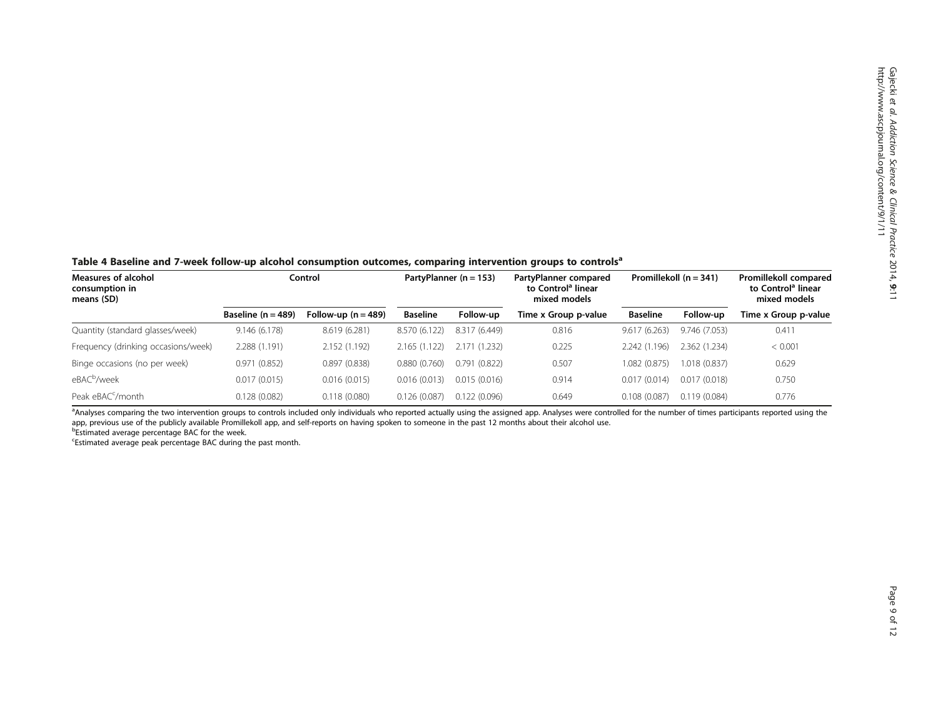# <span id="page-8-0"></span>Table 4 Baseline and 7-week follow-up alcohol consumption outcomes, comparing intervention groups to controls<sup>a</sup>

| <b>Measures of alcohol</b><br>consumption in<br>means (SD) | Control                |                       | PartyPlanner ( $n = 153$ ) |               | PartyPlanner compared<br>to Control <sup>a</sup> linear<br>mixed models | Promillekoll $(n = 341)$ |               | Promillekoll compared<br>to Control <sup>a</sup> linear<br>mixed models |  |
|------------------------------------------------------------|------------------------|-----------------------|----------------------------|---------------|-------------------------------------------------------------------------|--------------------------|---------------|-------------------------------------------------------------------------|--|
|                                                            | Baseline ( $n = 489$ ) | Follow-up $(n = 489)$ | <b>Baseline</b>            | Follow-up     | Time x Group p-value                                                    | <b>Baseline</b>          | Follow-up     | Time x Group p-value                                                    |  |
| Quantity (standard glasses/week)                           | 9.146(6.178)           | 8.619 (6.281)         | 8.570 (6.122)              | 8.317 (6.449) | 0.816                                                                   | 9.617(6.263)             | 9.746 (7.053) | 0.411                                                                   |  |
| Frequency (drinking occasions/week)                        | 2.288 (1.191)          | 2.152 (1.192)         | 2.165 (1.122)              | 2.171 (1.232) | 0.225                                                                   | 2.242 (1.196)            | 2.362 (1.234) | < 0.001                                                                 |  |
| Binge occasions (no per week)                              | 0.971(0.852)           | 0.897(0.838)          | 0.880(0.760)               | 0.791(0.822)  | 0.507                                                                   | 1.082 (0.875)            | 1.018 (0.837) | 0.629                                                                   |  |
| eBAC <sup>b</sup> /week                                    | 0.017(0.015)           | 0.016(0.015)          | 0.016(0.013)               | 0.015(0.016)  | 0.914                                                                   | 0.017(0.014)             | 0.017(0.018)  | 0.750                                                                   |  |
| Peak eBAC <sup>c</sup> /month                              | 0.128(0.082)           | 0.118(0.080)          | 0.126(0.087)               | 0.122(0.096)  | 0.649                                                                   | 0.108(0.087)             | 0.119(0.084)  | 0.776                                                                   |  |

<sup>a</sup>Analyses comparing the two intervention groups to controls included only individuals who reported actually using the assigned app. Analyses were controlled for the number of times participants reported using the app, previous use of the publicly available Promillekoll app, and self-reports on having spoken to someone in the past 12 months about their alcohol use.

**Estimated average percentage BAC for the week.** 

Estimated average peak percentage BAC during the past month.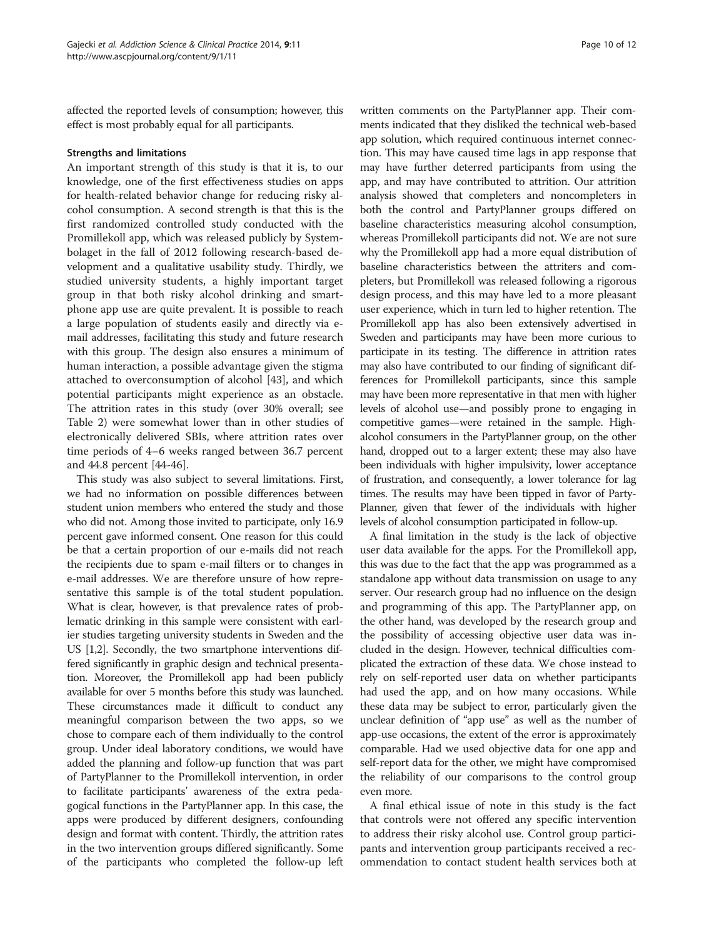affected the reported levels of consumption; however, this effect is most probably equal for all participants.

# Strengths and limitations

An important strength of this study is that it is, to our knowledge, one of the first effectiveness studies on apps for health-related behavior change for reducing risky alcohol consumption. A second strength is that this is the first randomized controlled study conducted with the Promillekoll app, which was released publicly by Systembolaget in the fall of 2012 following research-based development and a qualitative usability study. Thirdly, we studied university students, a highly important target group in that both risky alcohol drinking and smartphone app use are quite prevalent. It is possible to reach a large population of students easily and directly via email addresses, facilitating this study and future research with this group. The design also ensures a minimum of human interaction, a possible advantage given the stigma attached to overconsumption of alcohol [[43\]](#page-11-0), and which potential participants might experience as an obstacle. The attrition rates in this study (over 30% overall; see Table [2\)](#page-6-0) were somewhat lower than in other studies of electronically delivered SBIs, where attrition rates over time periods of 4–6 weeks ranged between 36.7 percent and 44.8 percent [\[44](#page-11-0)-[46](#page-11-0)].

This study was also subject to several limitations. First, we had no information on possible differences between student union members who entered the study and those who did not. Among those invited to participate, only 16.9 percent gave informed consent. One reason for this could be that a certain proportion of our e-mails did not reach the recipients due to spam e-mail filters or to changes in e-mail addresses. We are therefore unsure of how representative this sample is of the total student population. What is clear, however, is that prevalence rates of problematic drinking in this sample were consistent with earlier studies targeting university students in Sweden and the US [\[1,2\]](#page-10-0). Secondly, the two smartphone interventions differed significantly in graphic design and technical presentation. Moreover, the Promillekoll app had been publicly available for over 5 months before this study was launched. These circumstances made it difficult to conduct any meaningful comparison between the two apps, so we chose to compare each of them individually to the control group. Under ideal laboratory conditions, we would have added the planning and follow-up function that was part of PartyPlanner to the Promillekoll intervention, in order to facilitate participants' awareness of the extra pedagogical functions in the PartyPlanner app. In this case, the apps were produced by different designers, confounding design and format with content. Thirdly, the attrition rates in the two intervention groups differed significantly. Some of the participants who completed the follow-up left

written comments on the PartyPlanner app. Their comments indicated that they disliked the technical web-based app solution, which required continuous internet connection. This may have caused time lags in app response that may have further deterred participants from using the app, and may have contributed to attrition. Our attrition analysis showed that completers and noncompleters in both the control and PartyPlanner groups differed on baseline characteristics measuring alcohol consumption, whereas Promillekoll participants did not. We are not sure why the Promillekoll app had a more equal distribution of baseline characteristics between the attriters and completers, but Promillekoll was released following a rigorous design process, and this may have led to a more pleasant user experience, which in turn led to higher retention. The Promillekoll app has also been extensively advertised in Sweden and participants may have been more curious to participate in its testing. The difference in attrition rates may also have contributed to our finding of significant differences for Promillekoll participants, since this sample may have been more representative in that men with higher levels of alcohol use—and possibly prone to engaging in competitive games—were retained in the sample. Highalcohol consumers in the PartyPlanner group, on the other hand, dropped out to a larger extent; these may also have been individuals with higher impulsivity, lower acceptance of frustration, and consequently, a lower tolerance for lag times. The results may have been tipped in favor of Party-Planner, given that fewer of the individuals with higher levels of alcohol consumption participated in follow-up.

A final limitation in the study is the lack of objective user data available for the apps. For the Promillekoll app, this was due to the fact that the app was programmed as a standalone app without data transmission on usage to any server. Our research group had no influence on the design and programming of this app. The PartyPlanner app, on the other hand, was developed by the research group and the possibility of accessing objective user data was included in the design. However, technical difficulties complicated the extraction of these data. We chose instead to rely on self-reported user data on whether participants had used the app, and on how many occasions. While these data may be subject to error, particularly given the unclear definition of "app use" as well as the number of app-use occasions, the extent of the error is approximately comparable. Had we used objective data for one app and self-report data for the other, we might have compromised the reliability of our comparisons to the control group even more.

A final ethical issue of note in this study is the fact that controls were not offered any specific intervention to address their risky alcohol use. Control group participants and intervention group participants received a recommendation to contact student health services both at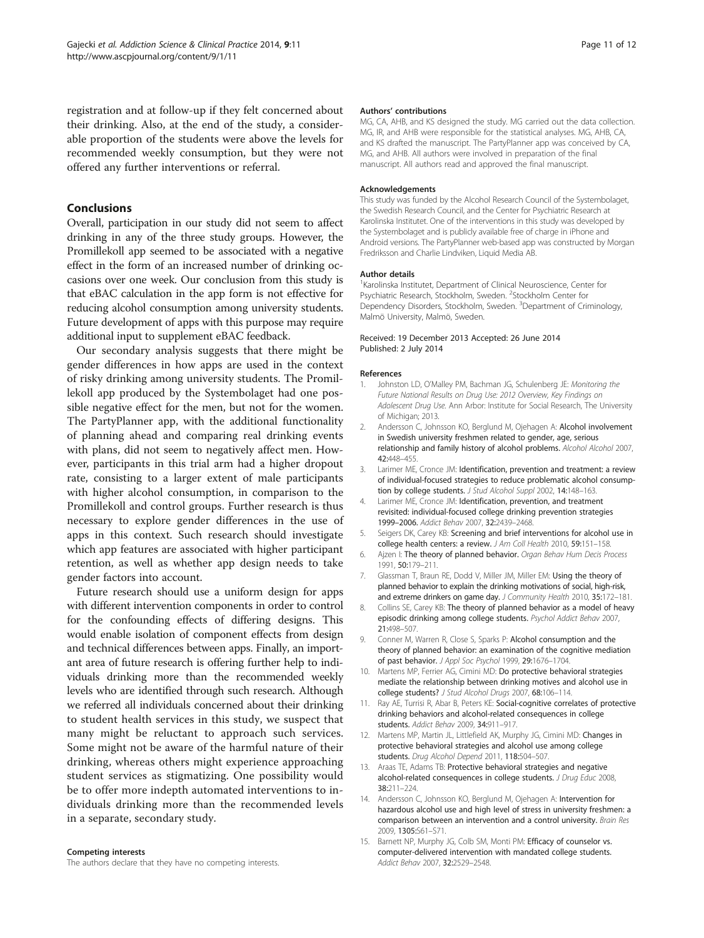<span id="page-10-0"></span>registration and at follow-up if they felt concerned about their drinking. Also, at the end of the study, a considerable proportion of the students were above the levels for recommended weekly consumption, but they were not offered any further interventions or referral.

# Conclusions

Overall, participation in our study did not seem to affect drinking in any of the three study groups. However, the Promillekoll app seemed to be associated with a negative effect in the form of an increased number of drinking occasions over one week. Our conclusion from this study is that eBAC calculation in the app form is not effective for reducing alcohol consumption among university students. Future development of apps with this purpose may require additional input to supplement eBAC feedback.

Our secondary analysis suggests that there might be gender differences in how apps are used in the context of risky drinking among university students. The Promillekoll app produced by the Systembolaget had one possible negative effect for the men, but not for the women. The PartyPlanner app, with the additional functionality of planning ahead and comparing real drinking events with plans, did not seem to negatively affect men. However, participants in this trial arm had a higher dropout rate, consisting to a larger extent of male participants with higher alcohol consumption, in comparison to the Promillekoll and control groups. Further research is thus necessary to explore gender differences in the use of apps in this context. Such research should investigate which app features are associated with higher participant retention, as well as whether app design needs to take gender factors into account.

Future research should use a uniform design for apps with different intervention components in order to control for the confounding effects of differing designs. This would enable isolation of component effects from design and technical differences between apps. Finally, an important area of future research is offering further help to individuals drinking more than the recommended weekly levels who are identified through such research. Although we referred all individuals concerned about their drinking to student health services in this study, we suspect that many might be reluctant to approach such services. Some might not be aware of the harmful nature of their drinking, whereas others might experience approaching student services as stigmatizing. One possibility would be to offer more indepth automated interventions to individuals drinking more than the recommended levels in a separate, secondary study.

#### Competing interests

The authors declare that they have no competing interests.

#### Authors' contributions

MG, CA, AHB, and KS designed the study. MG carried out the data collection. MG, IR, and AHB were responsible for the statistical analyses. MG, AHB, CA, and KS drafted the manuscript. The PartyPlanner app was conceived by CA, MG, and AHB. All authors were involved in preparation of the final manuscript. All authors read and approved the final manuscript.

#### Acknowledgements

This study was funded by the Alcohol Research Council of the Systembolaget, the Swedish Research Council, and the Center for Psychiatric Research at Karolinska Institutet. One of the interventions in this study was developed by the Systembolaget and is publicly available free of charge in iPhone and Android versions. The PartyPlanner web-based app was constructed by Morgan Fredriksson and Charlie Lindviken, Liquid Media AB.

#### Author details

1 Karolinska Institutet, Department of Clinical Neuroscience, Center for Psychiatric Research, Stockholm, Sweden. <sup>2</sup>Stockholm Center for Dependency Disorders, Stockholm, Sweden. <sup>3</sup>Department of Criminology, Malmö University, Malmö, Sweden.

#### Received: 19 December 2013 Accepted: 26 June 2014 Published: 2 July 2014

#### References

- 1. Johnston LD, O'Malley PM, Bachman JG, Schulenberg JE: Monitoring the Future National Results on Drug Use: 2012 Overview, Key Findings on Adolescent Drug Use. Ann Arbor: Institute for Social Research, The University of Michigan; 2013.
- 2. Andersson C, Johnsson KO, Berglund M, Ojehagen A: Alcohol involvement in Swedish university freshmen related to gender, age, serious relationship and family history of alcohol problems. Alcohol Alcohol 2007, 42:448–455.
- 3. Larimer ME, Cronce JM: Identification, prevention and treatment: a review of individual-focused strategies to reduce problematic alcohol consumption by college students. J Stud Alcohol Suppl 2002, 14:148-163.
- 4. Larimer ME, Cronce JM: Identification, prevention, and treatment revisited: individual-focused college drinking prevention strategies 1999–2006. Addict Behav 2007, 32:2439–2468.
- 5. Seigers DK, Carey KB: Screening and brief interventions for alcohol use in college health centers: a review. J Am Coll Health 2010, 59:151-158.
- 6. Ajzen I: The theory of planned behavior. Organ Behav Hum Decis Process 1991, 50:179–211.
- 7. Glassman T, Braun RE, Dodd V, Miller JM, Miller EM: Using the theory of planned behavior to explain the drinking motivations of social, high-risk, and extreme drinkers on game day. J Community Health 2010, 35:172-181.
- 8. Collins SE, Carey KB: The theory of planned behavior as a model of heavy episodic drinking among college students. Psychol Addict Behav 2007, 21:498–507.
- 9. Conner M, Warren R, Close S, Sparks P: Alcohol consumption and the theory of planned behavior: an examination of the cognitive mediation of past behavior. J Appl Soc Psychol 1999, 29:1676–1704.
- 10. Martens MP, Ferrier AG, Cimini MD: Do protective behavioral strategies mediate the relationship between drinking motives and alcohol use in college students? J Stud Alcohol Drugs 2007, 68:106–114.
- 11. Ray AE, Turrisi R, Abar B, Peters KE: Social-cognitive correlates of protective drinking behaviors and alcohol-related consequences in college students. Addict Behav 2009, 34:911–917.
- 12. Martens MP, Martin JL, Littlefield AK, Murphy JG, Cimini MD: Changes in protective behavioral strategies and alcohol use among college students. Drug Alcohol Depend 2011, 118:504–507.
- 13. Araas TE, Adams TB: Protective behavioral strategies and negative alcohol-related consequences in college students. J Drug Educ 2008, 38:211–224.
- 14. Andersson C, Johnsson KO, Berglund M, Ojehagen A: Intervention for hazardous alcohol use and high level of stress in university freshmen: a comparison between an intervention and a control university. Brain Res 2009, 1305:S61–S71.
- 15. Barnett NP, Murphy JG, Colb SM, Monti PM: Efficacy of counselor vs. computer-delivered intervention with mandated college students. Addict Behav 2007, 32:2529–2548.